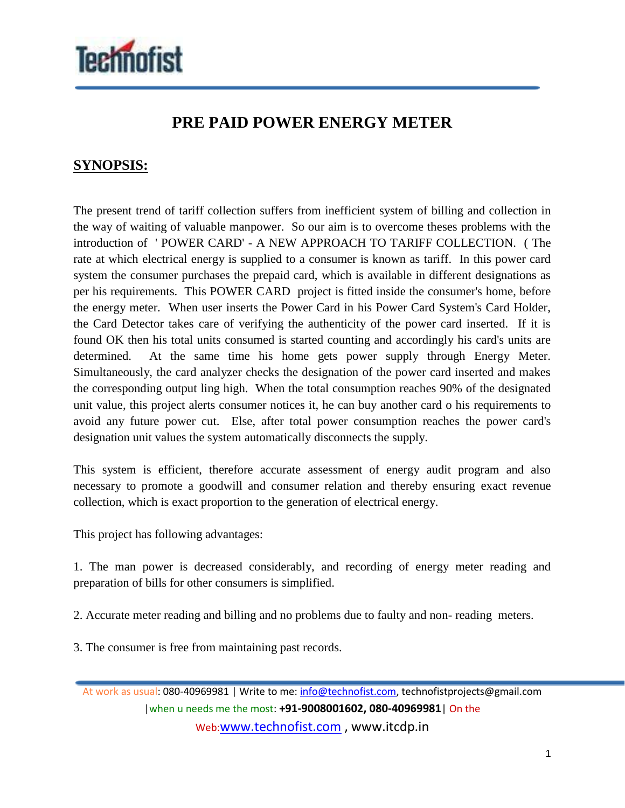

## **PRE PAID POWER ENERGY METER**

## **SYNOPSIS:**

The present trend of tariff collection suffers from inefficient system of billing and collection in the way of waiting of valuable manpower. So our aim is to overcome theses problems with the introduction of ' POWER CARD' - A NEW APPROACH TO TARIFF COLLECTION. ( The rate at which electrical energy is supplied to a consumer is known as tariff. In this power card system the consumer purchases the prepaid card, which is available in different designations as per his requirements. This POWER CARD project is fitted inside the consumer's home, before the energy meter. When user inserts the Power Card in his Power Card System's Card Holder, the Card Detector takes care of verifying the authenticity of the power card inserted. If it is found OK then his total units consumed is started counting and accordingly his card's units are determined. At the same time his home gets power supply through Energy Meter. Simultaneously, the card analyzer checks the designation of the power card inserted and makes the corresponding output ling high. When the total consumption reaches 90% of the designated unit value, this project alerts consumer notices it, he can buy another card o his requirements to avoid any future power cut. Else, after total power consumption reaches the power card's designation unit values the system automatically disconnects the supply.

This system is efficient, therefore accurate assessment of energy audit program and also necessary to promote a goodwill and consumer relation and thereby ensuring exact revenue collection, which is exact proportion to the generation of electrical energy.

This project has following advantages:

1. The man power is decreased considerably, and recording of energy meter reading and preparation of bills for other consumers is simplified.

- 2. Accurate meter reading and billing and no problems due to faulty and non- reading meters.
- 3. The consumer is free from maintaining past records.

At work as usual: 080-40969981 | Write to me: info@technofist.com, technofistprojects@gmail.com |when u needs me the most: **+91-9008001602, 080-40969981**| On the Web:www.technofist.com , www.itcdp.in